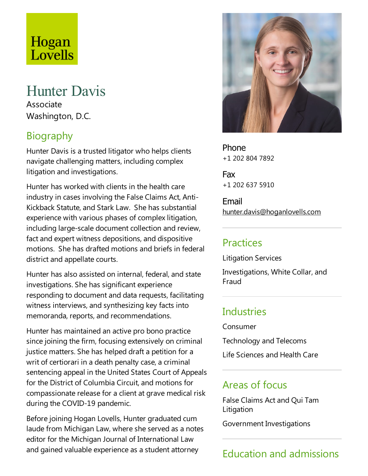# Hogan Lovells

## Hunter Davis

Associate Washington, D.C.

## Biography

Hunter Davis is a trusted litigator who helps clients navigate challenging matters, including complex litigation and investigations.

Hunter has worked with clients in the health care industry in cases involving the False Claims Act, Anti-Kickback Statute,and Stark Law. She has substantial experience with various phases of complex litigation, including large-scale document collection and review, fact and expert witness depositions, and dispositive motions. She has drafted motions and briefs in federal district and appellate courts.

Hunter has also assisted on internal, federal, and state investigations. She has significant experience responding to document and data requests, facilitating witness interviews, and synthesizing key facts into memoranda, reports, and recommendations.

Hunter has maintained an active pro bono practice since joining the firm, focusing extensively on criminal justice matters. She has helped draft a petition for a writ of certiorari in a death penalty case, a criminal sentencing appeal in the United States Court of Appeals for the District of Columbia Circuit, and motions for compassionate release for a client at grave medical risk during the COVID-19 pandemic.

Before joining Hogan Lovells, Hunter graduated cum laude from Michigan Law, where she served as a notes editor for the Michigan Journal of International Law and gained valuable experience as a student attorney



Phone +1 202 804 7892

Fax +1 202 637 5910

Email hunter.davis@hoganlovells.com

#### Practices

Litigation Services

Investigations, White Collar, and Fraud

### **Industries**

Consumer

Technology and Telecoms

Life Sciences and Health Care

#### Areas of focus

False Claims Act and Qui Tam Litigation

Government Investigations

## Education and admissions